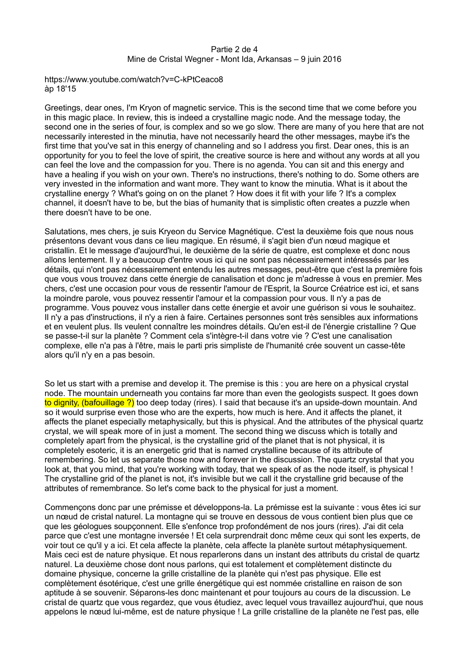## Partie 2 de 4 Mine de Cristal Wegner - Mont Ida, Arkansas – 9 juin 2016

<https://www.youtube.com/watch?v=C-kPtCeaco8> àp 18'15

Greetings, dear ones, I'm Kryon of magnetic service. This is the second time that we come before you in this magic place. In review, this is indeed a crystalline magic node. And the message today, the second one in the series of four, is complex and so we go slow. There are many of you here that are not necessarily interested in the minutia, have not necessarily heard the other messages, maybe it's the first time that you've sat in this energy of channeling and so I address you first. Dear ones, this is an opportunity for you to feel the love of spirit, the creative source is here and without any words at all you can feel the love and the compassion for you. There is no agenda. You can sit and this energy and have a healing if you wish on your own. There's no instructions, there's nothing to do. Some others are very invested in the information and want more. They want to know the minutia. What is it about the crystalline energy ? What's going on on the planet ? How does it fit with your life ? It's a complex channel, it doesn't have to be, but the bias of humanity that is simplistic often creates a puzzle when there doesn't have to be one.

Salutations, mes chers, je suis Kryeon du Service Magnétique. C'est la deuxième fois que nous nous présentons devant vous dans ce lieu magique. En résumé, il s'agit bien d'un nœud magique et cristallin. Et le message d'aujourd'hui, le deuxième de la série de quatre, est complexe et donc nous allons lentement. Il y a beaucoup d'entre vous ici qui ne sont pas nécessairement intéressés par les détails, qui n'ont pas nécessairement entendu les autres messages, peut-être que c'est la première fois que vous vous trouvez dans cette énergie de canalisation et donc je m'adresse à vous en premier. Mes chers, c'est une occasion pour vous de ressentir l'amour de l'Esprit, la Source Créatrice est ici, et sans la moindre parole, vous pouvez ressentir l'amour et la compassion pour vous. Il n'y a pas de programme. Vous pouvez vous installer dans cette énergie et avoir une guérison si vous le souhaitez. Il n'y a pas d'instructions, il n'y a rien à faire. Certaines personnes sont très sensibles aux informations et en veulent plus. Ils veulent connaître les moindres détails. Qu'en est-il de l'énergie cristalline ? Que se passe-t-il sur la planète ? Comment cela s'intègre-t-il dans votre vie ? C'est une canalisation complexe, elle n'a pas à l'être, mais le parti pris simpliste de l'humanité crée souvent un casse-tête alors qu'il n'y en a pas besoin.

So let us start with a premise and develop it. The premise is this : you are here on a physical crystal node. The mountain underneath you contains far more than even the geologists suspect. It goes down to dignity, (bafouillage ?) too deep today (rires). I said that because it's an upside-down mountain. And so it would surprise even those who are the experts, how much is here. And it affects the planet, it affects the planet especially metaphysically, but this is physical. And the attributes of the physical quartz crystal, we will speak more of in just a moment. The second thing we discuss which is totally and completely apart from the physical, is the crystalline grid of the planet that is not physical, it is completely esoteric, it is an energetic grid that is named crystalline because of its attribute of remembering. So let us separate those now and forever in the discussion. The quartz crystal that you look at, that you mind, that you're working with today, that we speak of as the node itself, is physical ! The crystalline grid of the planet is not, it's invisible but we call it the crystalline grid because of the attributes of remembrance. So let's come back to the physical for just a moment.

Commençons donc par une prémisse et développons-la. La prémisse est la suivante : vous êtes ici sur un nœud de cristal naturel. La montagne qui se trouve en dessous de vous contient bien plus que ce que les géologues soupçonnent. Elle s'enfonce trop profondément de nos jours (rires). J'ai dit cela parce que c'est une montagne inversée ! Et cela surprendrait donc même ceux qui sont les experts, de voir tout ce qu'il y a ici. Et cela affecte la planète, cela affecte la planète surtout métaphysiquement. Mais ceci est de nature physique. Et nous reparlerons dans un instant des attributs du cristal de quartz naturel. La deuxième chose dont nous parlons, qui est totalement et complètement distincte du domaine physique, concerne la grille cristalline de la planète qui n'est pas physique. Elle est complètement ésotérique, c'est une grille énergétique qui est nommée cristalline en raison de son aptitude à se souvenir. Séparons-les donc maintenant et pour toujours au cours de la discussion. Le cristal de quartz que vous regardez, que vous étudiez, avec lequel vous travaillez aujourd'hui, que nous appelons le nœud lui-même, est de nature physique ! La grille cristalline de la planète ne l'est pas, elle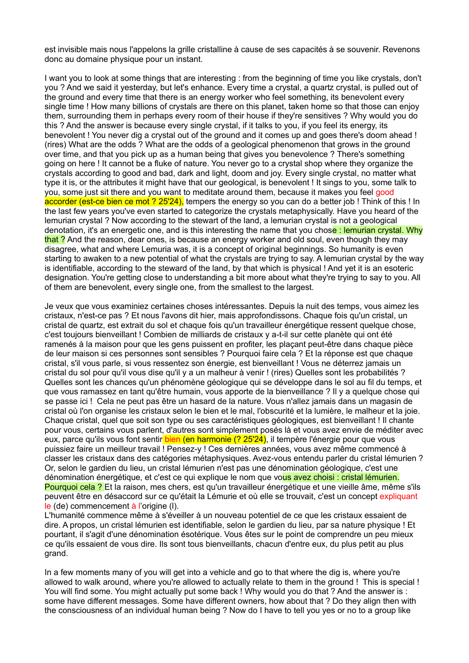est invisible mais nous l'appelons la grille cristalline à cause de ses capacités à se souvenir. Revenons donc au domaine physique pour un instant.

I want you to look at some things that are interesting : from the beginning of time you like crystals, don't you ? And we said it yesterday, but let's enhance. Every time a crystal, a quartz crystal, is pulled out of the ground and every time that there is an energy worker who feel something, its benevolent every single time ! How many billions of crystals are there on this planet, taken home so that those can enjoy them, surrounding them in perhaps every room of their house if they're sensitives ? Why would you do this ? And the answer is because every single crystal, if it talks to you, if you feel its energy, its benevolent ! You never dig a crystal out of the ground and it comes up and goes there's doom ahead ! (rires) What are the odds ? What are the odds of a geological phenomenon that grows in the ground over time, and that you pick up as a human being that gives you benevolence ? There's something going on here ! It cannot be a fluke of nature. You never go to a crystal shop where they organize the crystals according to good and bad, dark and light, doom and joy. Every single crystal, no matter what type it is, or the attributes it might have that our geological, is benevolent ! It sings to you, some talk to you, some just sit there and you want to meditate around them, because it makes you feel good accorder (est-ce bien ce mot ? 25'24), tempers the energy so you can do a better job ! Think of this ! In the last few years you've even started to categorize the crystals metaphysically. Have you heard of the lemurian crystal ? Now according to the stewart of the land, a lemurian crystal is not a geological denotation, it's an energetic one, and is this interesting the name that you chose: lemurian crystal. Why that ? And the reason, dear ones, is because an energy worker and old soul, even though they may disagree, what and where Lemuria was, it is a concept of original beginnings. So humanity is even starting to awaken to a new potential of what the crystals are trying to say. A lemurian crystal by the way is identifiable, according to the steward of the land, by that which is physical ! And yet it is an esoteric designation. You're getting close to understanding a bit more about what they're trying to say to you. All of them are benevolent, every single one, from the smallest to the largest.

Je veux que vous examiniez certaines choses intéressantes. Depuis la nuit des temps, vous aimez les cristaux, n'est-ce pas ? Et nous l'avons dit hier, mais approfondissons. Chaque fois qu'un cristal, un cristal de quartz, est extrait du sol et chaque fois qu'un travailleur énergétique ressent quelque chose, c'est toujours bienveillant ! Combien de milliards de cristaux y a-t-il sur cette planète qui ont été ramenés à la maison pour que les gens puissent en profiter, les plaçant peut-être dans chaque pièce de leur maison si ces personnes sont sensibles ? Pourquoi faire cela ? Et la réponse est que chaque cristal, s'il vous parle, si vous ressentez son énergie, est bienveillant ! Vous ne déterrez jamais un cristal du sol pour qu'il vous dise qu'il y a un malheur à venir ! (rires) Quelles sont les probabilités ? Quelles sont les chances qu'un phénomène géologique qui se développe dans le sol au fil du temps, et que vous ramassez en tant qu'être humain, vous apporte de la bienveillance ? Il y a quelque chose qui se passe ici ! Cela ne peut pas être un hasard de la nature. Vous n'allez jamais dans un magasin de cristal où l'on organise les cristaux selon le bien et le mal, l'obscurité et la lumière, le malheur et la joie. Chaque cristal, quel que soit son type ou ses caractéristiques géologiques, est bienveillant ! Il chante pour vous, certains vous parlent, d'autres sont simplement posés là et vous avez envie de méditer avec eux, parce qu'ils vous font sentir bien (en harmonie (? 25'24), il tempère l'énergie pour que vous puissiez faire un meilleur travail ! Pensez-y ! Ces dernières années, vous avez même commencé à classer les cristaux dans des catégories métaphysiques. Avez-vous entendu parler du cristal lémurien ? Or, selon le gardien du lieu, un cristal lémurien n'est pas une dénomination géologique, c'est une dénomination énergétique, et c'est ce qui explique le nom que vous avez choisi : cristal lémurien. Pourquoi cela ? Et la raison, mes chers, est qu'un travailleur énergétique et une vieille âme, même s'ils peuvent être en désaccord sur ce qu'était la Lémurie et où elle se trouvait, c'est un concept expliquant le (de) commencement à l'origine (I).

L'humanité commence même à s'éveiller à un nouveau potentiel de ce que les cristaux essaient de dire. A propos, un cristal lémurien est identifiable, selon le gardien du lieu, par sa nature physique ! Et pourtant, il s'agit d'une dénomination ésotérique. Vous êtes sur le point de comprendre un peu mieux ce qu'ils essaient de vous dire. Ils sont tous bienveillants, chacun d'entre eux, du plus petit au plus grand.

In a few moments many of you will get into a vehicle and go to that where the dig is, where you're allowed to walk around, where you're allowed to actually relate to them in the ground ! This is special ! You will find some. You might actually put some back ! Why would you do that ? And the answer is : some have different messages. Some have different owners, how about that ? Do they align then with the consciousness of an individual human being ? Now do I have to tell you yes or no to a group like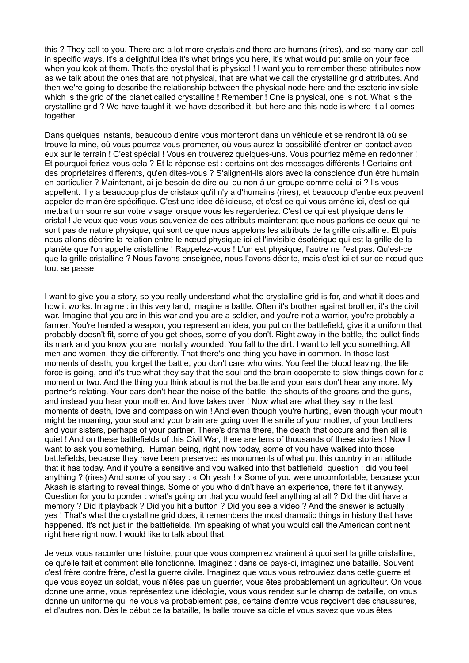this ? They call to you. There are a lot more crystals and there are humans (rires), and so many can call in specific ways. It's a delightful idea it's what brings you here, it's what would put smile on your face when you look at them. That's the crystal that is physical ! I want you to remember these attributes now as we talk about the ones that are not physical, that are what we call the crystalline grid attributes. And then we're going to describe the relationship between the physical node here and the esoteric invisible which is the grid of the planet called crystalline ! Remember ! One is physical, one is not. What is the crystalline grid ? We have taught it, we have described it, but here and this node is where it all comes together.

Dans quelques instants, beaucoup d'entre vous monteront dans un véhicule et se rendront là où se trouve la mine, où vous pourrez vous promener, où vous aurez la possibilité d'entrer en contact avec eux sur le terrain ! C'est spécial ! Vous en trouverez quelques-uns. Vous pourriez même en redonner ! Et pourquoi feriez-vous cela ? Et la réponse est : certains ont des messages différents ! Certains ont des propriétaires différents, qu'en dites-vous ? S'alignent-ils alors avec la conscience d'un être humain en particulier ? Maintenant, ai-je besoin de dire oui ou non à un groupe comme celui-ci ? Ils vous appellent. Il y a beaucoup plus de cristaux qu'il n'y a d'humains (rires), et beaucoup d'entre eux peuvent appeler de manière spécifique. C'est une idée délicieuse, et c'est ce qui vous amène ici, c'est ce qui mettrait un sourire sur votre visage lorsque vous les regarderiez. C'est ce qui est physique dans le cristal ! Je veux que vous vous souveniez de ces attributs maintenant que nous parlons de ceux qui ne sont pas de nature physique, qui sont ce que nous appelons les attributs de la grille cristalline. Et puis nous allons décrire la relation entre le nœud physique ici et l'invisible ésotérique qui est la grille de la planète que l'on appelle cristalline ! Rappelez-vous ! L'un est physique, l'autre ne l'est pas. Qu'est-ce que la grille cristalline ? Nous l'avons enseignée, nous l'avons décrite, mais c'est ici et sur ce nœud que tout se passe.

I want to give you a story, so you really understand what the crystalline grid is for, and what it does and how it works. Imagine : in this very land, imagine a battle. Often it's brother against brother, it's the civil war. Imagine that you are in this war and you are a soldier, and you're not a warrior, you're probably a farmer. You're handed a weapon, you represent an idea, you put on the battlefield, give it a uniform that probably doesn't fit, some of you get shoes, some of you don't. Right away in the battle, the bullet finds its mark and you know you are mortally wounded. You fall to the dirt. I want to tell you something. All men and women, they die differently. That there's one thing you have in common. In those last moments of death, you forget the battle, you don't care who wins. You feel the blood leaving, the life force is going, and it's true what they say that the soul and the brain cooperate to slow things down for a moment or two. And the thing you think about is not the battle and your ears don't hear any more. My partner's relating. Your ears don't hear the noise of the battle, the shouts of the groans and the guns, and instead you hear your mother. And love takes over ! Now what are what they say in the last moments of death, love and compassion win ! And even though you're hurting, even though your mouth might be moaning, your soul and your brain are going over the smile of your mother, of your brothers and your sisters, perhaps of your partner. There's drama there, the death that occurs and then all is quiet ! And on these battlefields of this Civil War, there are tens of thousands of these stories ! Now I want to ask you something. Human being, right now today, some of you have walked into those battlefields, because they have been preserved as monuments of what put this country in an attitude that it has today. And if you're a sensitive and you walked into that battlefield, question : did you feel anything ? (rires) And some of you say : « Oh yeah ! » Some of you were uncomfortable, because your Akash is starting to reveal things. Some of you who didn't have an experience, there felt it anyway. Question for you to ponder : what's going on that you would feel anything at all ? Did the dirt have a memory ? Did it playback ? Did you hit a button ? Did you see a video ? And the answer is actually : yes ! That's what the crystalline grid does, it remembers the most dramatic things in history that have happened. It's not just in the battlefields. I'm speaking of what you would call the American continent right here right now. I would like to talk about that.

Je veux vous raconter une histoire, pour que vous compreniez vraiment à quoi sert la grille cristalline, ce qu'elle fait et comment elle fonctionne. Imaginez : dans ce pays-ci, imaginez une bataille. Souvent c'est frère contre frère, c'est la guerre civile. Imaginez que vous vous retrouviez dans cette guerre et que vous soyez un soldat, vous n'êtes pas un guerrier, vous êtes probablement un agriculteur. On vous donne une arme, vous représentez une idéologie, vous vous rendez sur le champ de bataille, on vous donne un uniforme qui ne vous va probablement pas, certains d'entre vous reçoivent des chaussures, et d'autres non. Dès le début de la bataille, la balle trouve sa cible et vous savez que vous êtes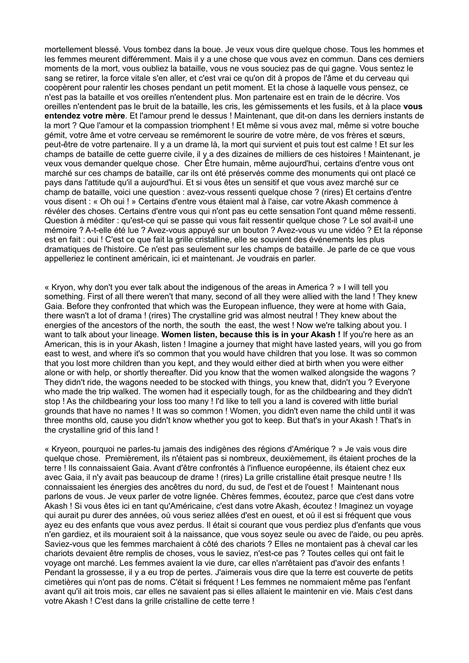mortellement blessé. Vous tombez dans la boue. Je veux vous dire quelque chose. Tous les hommes et les femmes meurent différemment. Mais il y a une chose que vous avez en commun. Dans ces derniers moments de la mort, vous oubliez la bataille, vous ne vous souciez pas de qui gagne. Vous sentez le sang se retirer, la force vitale s'en aller, et c'est vrai ce qu'on dit à propos de l'âme et du cerveau qui coopèrent pour ralentir les choses pendant un petit moment. Et la chose à laquelle vous pensez, ce n'est pas la bataille et vos oreilles n'entendent plus. Mon partenaire est en train de le décrire. Vos oreilles n'entendent pas le bruit de la bataille, les cris, les gémissements et les fusils, et à la place **vous entendez votre mère**. Et l'amour prend le dessus ! Maintenant, que dit-on dans les derniers instants de la mort ? Que l'amour et la compassion triomphent ! Et même si vous avez mal, même si votre bouche gémit, votre âme et votre cerveau se remémorent le sourire de votre mère, de vos frères et sœurs, peut-être de votre partenaire. Il y a un drame là, la mort qui survient et puis tout est calme ! Et sur les champs de bataille de cette guerre civile, il y a des dizaines de milliers de ces histoires ! Maintenant, je veux vous demander quelque chose. Cher Être humain, même aujourd'hui, certains d'entre vous ont marché sur ces champs de bataille, car ils ont été préservés comme des monuments qui ont placé ce pays dans l'attitude qu'il a aujourd'hui. Et si vous êtes un sensitif et que vous avez marché sur ce champ de bataille, voici une question : avez-vous ressenti quelque chose ? (rires) Et certains d'entre vous disent : « Oh oui ! » Certains d'entre vous étaient mal à l'aise, car votre Akash commence à révéler des choses. Certains d'entre vous qui n'ont pas eu cette sensation l'ont quand même ressenti. Question à méditer : qu'est-ce qui se passe qui vous fait ressentir quelque chose ? Le sol avait-il une mémoire ? A-t-elle été lue ? Avez-vous appuyé sur un bouton ? Avez-vous vu une vidéo ? Et la réponse est en fait : oui ! C'est ce que fait la grille cristalline, elle se souvient des événements les plus dramatiques de l'histoire. Ce n'est pas seulement sur les champs de bataille. Je parle de ce que vous appelleriez le continent américain, ici et maintenant. Je voudrais en parler.

« Kryon, why don't you ever talk about the indigenous of the areas in America ? » I will tell you something. First of all there weren't that many, second of all they were allied with the land ! They knew Gaia. Before they confronted that which was the European influence, they were at home with Gaia, there wasn't a lot of drama ! (rires) The crystalline grid was almost neutral ! They knew about the energies of the ancestors of the north, the south the east, the west ! Now we're talking about you. I want to talk about your lineage. **Women listen, because this is in your Akash !** If you're here as an American, this is in your Akash, listen ! Imagine a journey that might have lasted years, will you go from east to west, and where it's so common that you would have children that you lose. It was so common that you lost more children than you kept, and they would either died at birth when you were either alone or with help, or shortly thereafter. Did you know that the women walked alongside the wagons ? They didn't ride, the wagons needed to be stocked with things, you knew that, didn't you ? Everyone who made the trip walked. The women had it especially tough, for as the childbearing and they didn't stop ! As the childbearing your loss too many ! I'd like to tell you a land is covered with little burial grounds that have no names ! It was so common ! Women, you didn't even name the child until it was three months old, cause you didn't know whether you got to keep. But that's in your Akash ! That's in the crystalline grid of this land !

« Kryeon, pourquoi ne parles-tu jamais des indigènes des régions d'Amérique ? » Je vais vous dire quelque chose. Premièrement, ils n'étaient pas si nombreux, deuxièmement, ils étaient proches de la terre ! Ils connaissaient Gaia. Avant d'être confrontés à l'influence européenne, ils étaient chez eux avec Gaia, il n'y avait pas beaucoup de drame ! (rires) La grille cristalline était presque neutre ! Ils connaissaient les énergies des ancêtres du nord, du sud, de l'est et de l'ouest ! Maintenant nous parlons de vous. Je veux parler de votre lignée. Chères femmes, écoutez, parce que c'est dans votre Akash ! Si vous êtes ici en tant qu'Américaine, c'est dans votre Akash, écoutez ! Imaginez un voyage qui aurait pu durer des années, où vous seriez allées d'est en ouest, et où il est si fréquent que vous ayez eu des enfants que vous avez perdus. Il était si courant que vous perdiez plus d'enfants que vous n'en gardiez, et ils mouraient soit à la naissance, que vous soyez seule ou avec de l'aide, ou peu après. Saviez-vous que les femmes marchaient à côté des chariots ? Elles ne montaient pas à cheval car les chariots devaient être remplis de choses, vous le saviez, n'est-ce pas ? Toutes celles qui ont fait le voyage ont marché. Les femmes avaient la vie dure, car elles n'arrêtaient pas d'avoir des enfants ! Pendant la grossesse, il y a eu trop de pertes. J'aimerais vous dire que la terre est couverte de petits cimetières qui n'ont pas de noms. C'était si fréquent ! Les femmes ne nommaient même pas l'enfant avant qu'il ait trois mois, car elles ne savaient pas si elles allaient le maintenir en vie. Mais c'est dans votre Akash ! C'est dans la grille cristalline de cette terre !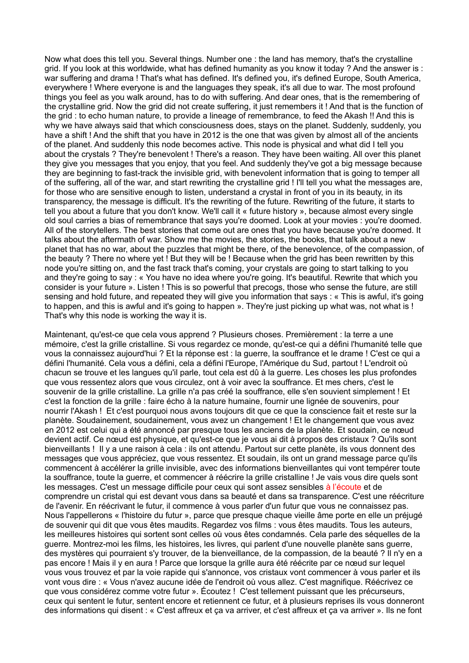Now what does this tell you. Several things. Number one : the land has memory, that's the crystalline grid. If you look at this worldwide, what has defined humanity as you know it today ? And the answer is : war suffering and drama ! That's what has defined. It's defined you, it's defined Europe, South America, everywhere ! Where everyone is and the languages they speak, it's all due to war. The most profound things you feel as you walk around, has to do with suffering. And dear ones, that is the remembering of the crystalline grid. Now the grid did not create suffering, it just remembers it ! And that is the function of the grid : to echo human nature, to provide a lineage of remembrance, to feed the Akash !! And this is why we have always said that which consciousness does, stays on the planet. Suddenly, suddenly, you have a shift ! And the shift that you have in 2012 is the one that was given by almost all of the ancients of the planet. And suddenly this node becomes active. This node is physical and what did I tell you about the crystals ? They're benevolent ! There's a reason. They have been waiting. All over this planet they give you messages that you enjoy, that you feel. And suddenly they've got a big message because they are beginning to fast-track the invisible grid, with benevolent information that is going to temper all of the suffering, all of the war, and start rewriting the crystalline grid ! I'll tell you what the messages are, for those who are sensitive enough to listen, understand a crystal in front of you in its beauty, in its transparency, the message is difficult. It's the rewriting of the future. Rewriting of the future, it starts to tell you about a future that you don't know. We'll call it « future history », because almost every single old soul carries a bias of remembrance that says you're doomed. Look at your movies : you're doomed. All of the storytellers. The best stories that come out are ones that you have because you're doomed. It talks about the aftermath of war. Show me the movies, the stories, the books, that talk about a new planet that has no war, about the puzzles that might be there, of the benevolence, of the compassion, of the beauty ? There no where yet ! But they will be ! Because when the grid has been rewritten by this node you're sitting on, and the fast track that's coming, your crystals are going to start talking to you and they're going to say : « You have no idea where you're going. It's beautiful. Rewrite that which you consider is your future ». Listen ! This is so powerful that precogs, those who sense the future, are still sensing and hold future, and repeated they will give you information that says : « This is awful, it's going to happen, and this is awful and it's going to happen ». They're just picking up what was, not what is ! That's why this node is working the way it is.

Maintenant, qu'est-ce que cela vous apprend ? Plusieurs choses. Premièrement : la terre a une mémoire, c'est la grille cristalline. Si vous regardez ce monde, qu'est-ce qui a défini l'humanité telle que vous la connaissez aujourd'hui ? Et la réponse est : la guerre, la souffrance et le drame ! C'est ce qui a défini l'humanité. Cela vous a défini, cela a défini l'Europe, l'Amérique du Sud, partout ! L'endroit où chacun se trouve et les langues qu'il parle, tout cela est dû à la guerre. Les choses les plus profondes que vous ressentez alors que vous circulez, ont à voir avec la souffrance. Et mes chers, c'est le souvenir de la grille cristalline. La grille n'a pas créé la souffrance, elle s'en souvient simplement ! Et c'est la fonction de la grille : faire écho à la nature humaine, fournir une lignée de souvenirs, pour nourrir l'Akash ! Et c'est pourquoi nous avons toujours dit que ce que la conscience fait et reste sur la planète. Soudainement, soudainement, vous avez un changement ! Et le changement que vous avez en 2012 est celui qui a été annoncé par presque tous les anciens de la planète. Et soudain, ce nœud devient actif. Ce nœud est physique, et qu'est-ce que je vous ai dit à propos des cristaux ? Qu'ils sont bienveillants ! Il y a une raison à cela : ils ont attendu. Partout sur cette planète, ils vous donnent des messages que vous appréciez, que vous ressentez. Et soudain, ils ont un grand message parce qu'ils commencent à accélérer la grille invisible, avec des informations bienveillantes qui vont tempérer toute la souffrance, toute la guerre, et commencer à réécrire la grille cristalline ! Je vais vous dire quels sont les messages. C'est un message difficile pour ceux qui sont assez sensibles à l'écoute et de comprendre un cristal qui est devant vous dans sa beauté et dans sa transparence. C'est une réécriture de l'avenir. En réécrivant le futur, il commence à vous parler d'un futur que vous ne connaissez pas. Nous l'appellerons « l'histoire du futur », parce que presque chaque vieille âme porte en elle un préjugé de souvenir qui dit que vous êtes maudits. Regardez vos films : vous êtes maudits. Tous les auteurs, les meilleures histoires qui sortent sont celles où vous êtes condamnés. Cela parle des séquelles de la guerre. Montrez-moi les films, les histoires, les livres, qui parlent d'une nouvelle planète sans guerre, des mystères qui pourraient s'y trouver, de la bienveillance, de la compassion, de la beauté ? Il n'y en a pas encore ! Mais il y en aura ! Parce que lorsque la grille aura été réécrite par ce nœud sur lequel vous vous trouvez et par la voie rapide qui s'annonce, vos cristaux vont commencer à vous parler et ils vont vous dire : « Vous n'avez aucune idée de l'endroit où vous allez. C'est magnifique. Réécrivez ce que vous considérez comme votre futur ». Écoutez ! C'est tellement puissant que les précurseurs, ceux qui sentent le futur, sentent encore et retiennent ce futur, et à plusieurs reprises ils vous donneront des informations qui disent : « C'est affreux et ça va arriver, et c'est affreux et ça va arriver ». Ils ne font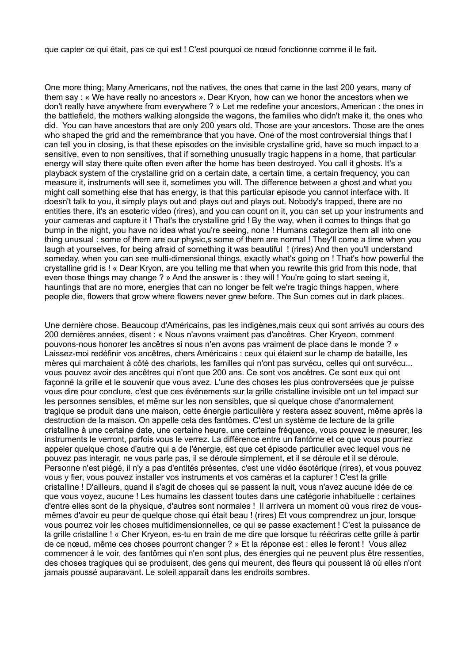que capter ce qui était, pas ce qui est ! C'est pourquoi ce nœud fonctionne comme il le fait.

One more thing; Many Americans, not the natives, the ones that came in the last 200 years, many of them say : « We have really no ancestors ». Dear Kryon, how can we honor the ancestors when we don't really have anywhere from everywhere ? » Let me redefine your ancestors, American : the ones in the battlefield, the mothers walking alongside the wagons, the families who didn't make it, the ones who did. You can have ancestors that are only 200 years old. Those are your ancestors. Those are the ones who shaped the grid and the remembrance that you have. One of the most controversial things that I can tell you in closing, is that these episodes on the invisible crystalline grid, have so much impact to a sensitive, even to non sensitives, that if something unusually tragic happens in a home, that particular energy will stay there quite often even after the home has been destroyed. You call it ghosts. It's a playback system of the crystalline grid on a certain date, a certain time, a certain frequency, you can measure it, instruments will see it, sometimes you will. The difference between a ghost and what you might call something else that has energy, is that this particular episode you cannot interface with. It doesn't talk to you, it simply plays out and plays out and plays out. Nobody's trapped, there are no entities there, it's an esoteric video (rires), and you can count on it, you can set up your instruments and your cameras and capture it ! That's the crystalline grid ! By the way, when it comes to things that go bump in the night, you have no idea what you're seeing, none ! Humans categorize them all into one thing unusual : some of them are our physic,s some of them are normal ! They'll come a time when you laugh at yourselves, for being afraid of something it was beautiful ! (rires) And then you'll understand someday, when you can see multi-dimensional things, exactly what's going on ! That's how powerful the crystalline grid is ! « Dear Kryon, are you telling me that when you rewrite this grid from this node, that even those things may change ? » And the answer is : they will ! You're going to start seeing it, hauntings that are no more, energies that can no longer be felt we're tragic things happen, where people die, flowers that grow where flowers never grew before. The Sun comes out in dark places.

Une dernière chose. Beaucoup d'Américains, pas les indigènes,mais ceux qui sont arrivés au cours des 200 dernières années, disent : « Nous n'avons vraiment pas d'ancêtres. Cher Kryeon, comment pouvons-nous honorer les ancêtres si nous n'en avons pas vraiment de place dans le monde ? » Laissez-moi redéfinir vos ancêtres, chers Américains : ceux qui étaient sur le champ de bataille, les mères qui marchaient à côté des chariots, les familles qui n'ont pas survécu, celles qui ont survécu... vous pouvez avoir des ancêtres qui n'ont que 200 ans. Ce sont vos ancêtres. Ce sont eux qui ont façonné la grille et le souvenir que vous avez. L'une des choses les plus controversées que je puisse vous dire pour conclure, c'est que ces événements sur la grille cristalline invisible ont un tel impact sur les personnes sensibles, et même sur les non sensibles, que si quelque chose d'anormalement tragique se produit dans une maison, cette énergie particulière y restera assez souvent, même après la destruction de la maison. On appelle cela des fantômes. C'est un système de lecture de la grille cristalline à une certaine date, une certaine heure, une certaine fréquence, vous pouvez le mesurer, les instruments le verront, parfois vous le verrez. La différence entre un fantôme et ce que vous pourriez appeler quelque chose d'autre qui a de l'énergie, est que cet épisode particulier avec lequel vous ne pouvez pas interagir, ne vous parle pas, il se déroule simplement, et il se déroule et il se déroule. Personne n'est piégé, il n'y a pas d'entités présentes, c'est une vidéo ésotérique (rires), et vous pouvez vous y fier, vous pouvez installer vos instruments et vos caméras et la capturer ! C'est la grille cristalline ! D'ailleurs, quand il s'agit de choses qui se passent la nuit, vous n'avez aucune idée de ce que vous voyez, aucune ! Les humains les classent toutes dans une catégorie inhabituelle : certaines d'entre elles sont de la physique, d'autres sont normales ! Il arrivera un moment où vous rirez de vousmêmes d'avoir eu peur de quelque chose qui était beau ! (rires) Et vous comprendrez un jour, lorsque vous pourrez voir les choses multidimensionnelles, ce qui se passe exactement ! C'est la puissance de la grille cristalline ! « Cher Kryeon, es-tu en train de me dire que lorsque tu réécriras cette grille à partir de ce nœud, même ces choses pourront changer ? » Et la réponse est : elles le feront ! Vous allez commencer à le voir, des fantômes qui n'en sont plus, des énergies qui ne peuvent plus être ressenties, des choses tragiques qui se produisent, des gens qui meurent, des fleurs qui poussent là où elles n'ont jamais poussé auparavant. Le soleil apparaît dans les endroits sombres.